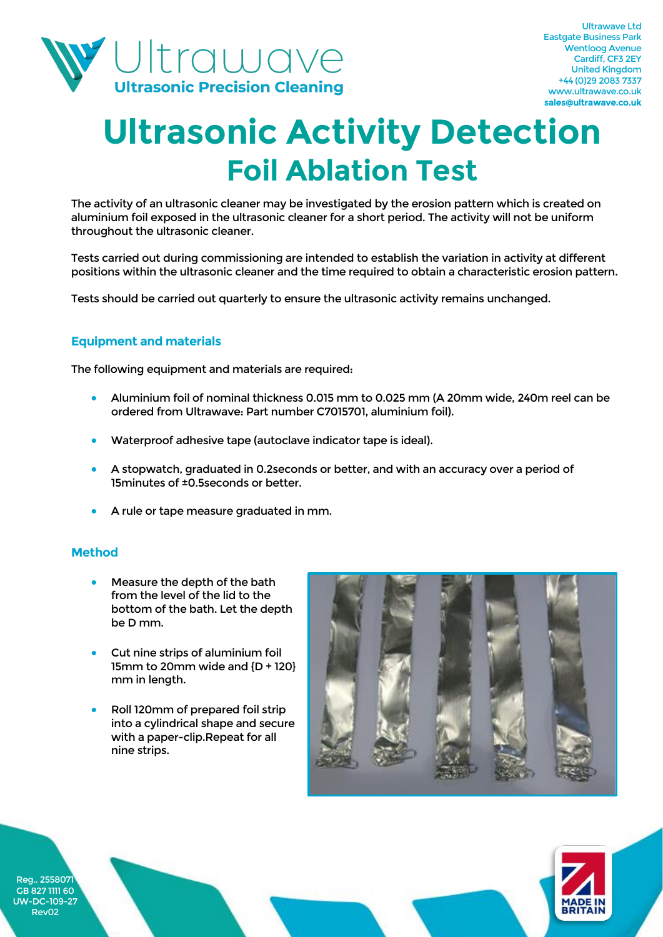

## **Ultrasonic Activity Detection Foil Ablation Test**

The activity of an ultrasonic cleaner may be investigated by the erosion pattern which is created on aluminium foil exposed in the ultrasonic cleaner for a short period. The activity will not be uniform throughout the ultrasonic cleaner.

Tests carried out during commissioning are intended to establish the variation in activity at different positions within the ultrasonic cleaner and the time required to obtain a characteristic erosion pattern.

Tests should be carried out quarterly to ensure the ultrasonic activity remains unchanged.

### **Equipment and materials**

The following equipment and materials are required:

- Aluminium foil of nominal thickness 0.015 mm to 0.025 mm (A 20mm wide, 240m reel can be ordered from Ultrawave: Part number C7015701, aluminium foil).
- Waterproof adhesive tape (autoclave indicator tape is ideal).
- A stopwatch, graduated in 0.2seconds or better, and with an accuracy over a period of 15minutes of ±0.5seconds or better.
- A rule or tape measure graduated in mm.

#### **Method**

- Measure the depth of the bath from the level of the lid to the bottom of the bath. Let the depth be D mm.
- Cut nine strips of aluminium foil 15mm to 20mm wide and {D + 120} mm in length.
- Roll 120mm of prepared foil strip into a cylindrical shape and secure with a paper-clip.Repeat for all nine strips.





Reg.. 255807 GB 827 1111 60 UW-DC-109-27 Rev02